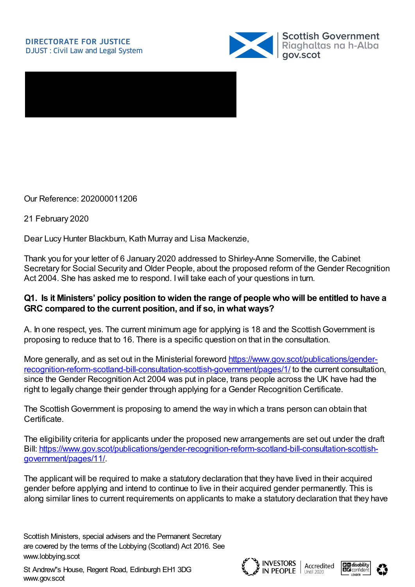

Our Reference: 202000011206

21 February 2020

Dear Lucy Hunter Blackburn, Kath Murray and Lisa Mackenzie,

Thank you for your letter of 6 January 2020 addressed to Shirley-Anne Somerville, the Cabinet Secretary for Social Security and Older People, about the proposed reform of the Gender Recognition Act 2004. She has asked me to respond. Iwill take each of your questions in turn.

#### Q1. Is it Ministers' policy position to widen the range of people who will be entitled to have a **GRC compared to the current position, and if so, in what ways?**

A. In one respect, yes. The current minimum age for applying is 18 and the Scottish Government is proposing to reduce that to 16. There is a specific question on that in the consultation.

More generally, and as set out in the Ministerial foreword https://www.gov.scot/publications/gender[recognition-reform-scotland-bill-consultation-scottish-government/pages/1/](https://www.gov.scot/publications/gender-recognition-reform-scotland-bill-consultation-scottish-government/pages/1/) to the current consultation, since the Gender Recognition Act 2004 was put in place, trans people across the UK have had the right to legally change their gender through applying for a Gender Recognition Certificate.

The Scottish Government is proposing to amend the way in which a trans person can obtain that Certificate.

The eligibility criteria for applicants under the proposed new arrangements are set out under the draft Bill: [https://www.gov.scot/publications/gender-recognition-reform-scotland-bill-consultation-scottish](https://www.gov.scot/publications/gender-recognition-reform-scotland-bill-consultation-scottish-government/pages/11/)government/pages/11/.

The applicant will be required to make a statutory declaration that they have lived in their acquired gender before applying and intend to continue to live in their acquired gender permanently. This is along similar lines to current requirements on applicants to make a statutory declaration that they have







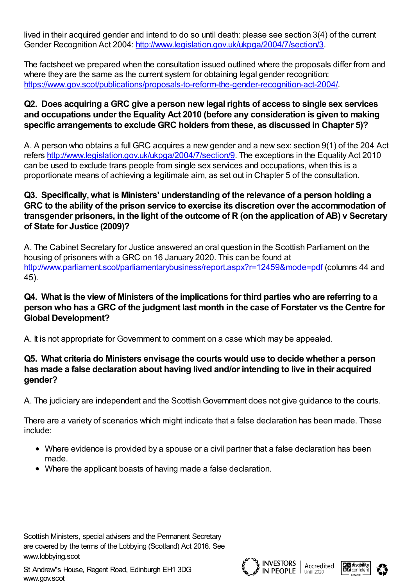lived in their acquired gender and intend to do so until death: please see section 3(4) of the current Gender Recognition Act 2004: <http://www.legislation.gov.uk/ukpga/2004/7/section/3>.

The factsheet we prepared when the consultation issued outlined where the proposals differ from and where they are the same as the current system for obtaining legal gender recognition: <https://www.gov.scot/publications/proposals-to-reform-the-gender-recognition-act-2004/>.

# **Q2. Does acquiring a GRC give a person new legal rights of access to single sex services and occupations under the Equality Act 2010 (before any consideration is given to making specific arrangements to exclude GRC holders fromthese, as discussed in Chapter 5)?**

A. A person who obtains a full GRC acquires a new gender and a new sex: section 9(1) of the 204 Act refers [http://www.legislation.gov.uk/ukpga/2004/7/section/9.](http://www.legislation.gov.uk/ukpga/2004/7/section/9) The exceptions in the Equality Act 2010 can be used to exclude trans people from single sex services and occupations, when this is a proportionate means of achieving a legitimate aim, as set out in Chapter 5 of the consultation.

# **Q3. Specifically, what is Ministers' understanding of the relevance of a person holding a GRC to the ability of the prison service to exercise its discretion over the accommodation of transgender prisoners, in the light of the outcome of R (on the application of AB) v Secretary of State for Justice (2009)?**

A. The Cabinet Secretary for Justice answered an oral question in the Scottish Parliament on the housing of prisoners with a GRC on 16 January 2020. This can be found at <http://www.parliament.scot/parliamentarybusiness/report.aspx?r=12459&mode=pdf> (columns 44 and 45).

# **Q4. What is the view of Ministers of the implications for third parties who are referring to a person who has a GRC of the judgment last month in the case of Forstater vs the Centre for Global Development?**

A. It is not appropriate for Government to comment on a case which may be appealed.

# **Q5. What criteria do Ministers envisage the courts would use to decide whether a person has made a false declaration about having lived and/or intending to live in their acquired gender?**

A. The judiciary are independent and the Scottish Government does not give guidance to the courts.

There are a variety of scenarios which might indicate that a false declaration has been made. These include:

- Where evidence is provided by a spouse or a civil partner that a false declaration has been made.
- Where the applicant boasts of having made a false declaration.







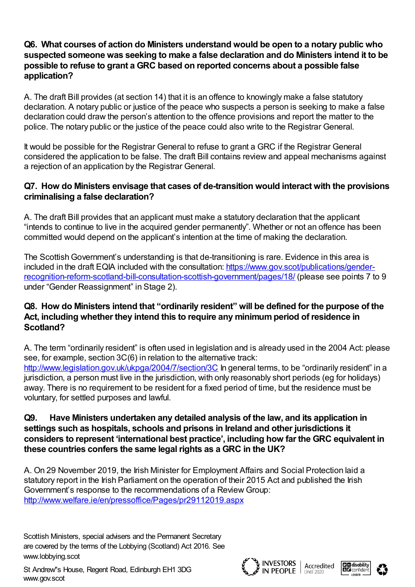# **Q6. What courses of action do Ministers understand would be open to a notary public who suspected someone was seeking to make a false declaration and do Ministers intend it to be possible to refuse to grant a GRC based on reported concerns about a possible false application?**

A. The draft Bill provides (at section 14) that it is an offence to knowingly make a false statutory declaration. A notary public or justice of the peace who suspects a person is seeking to make a false declaration could draw the person's attention to the offence provisions and report the matter to the police. The notary public or the justice of the peace could also write to the Registrar General.

It would be possible for the Registrar General to refuse to grant a GRC if the Registrar General considered the application to be false. The draft Bill contains review and appeal mechanisms against a rejection of an application by the Registrar General.

# **Q7. How do Ministers envisage that cases of de-transition would interact with the provisions criminalising a false declaration?**

A. The draft Bill provides that an applicant must make a statutory declaration that the applicant "intends to continue to live in the acquired gender permanently". Whether or not an offence has been committed would depend on the applicant's intention at the time of making the declaration.

The Scottish Government's understanding is that de-transitioning is rare. Evidence in this area is included in the draft EQIA included with the consultation: https://www.gov.scot/publications/gender[recognition-reform-scotland-bill-consultation-scottish-government/pages/18/](https://www.gov.scot/publications/gender-recognition-reform-scotland-bill-consultation-scottish-government/pages/18/) (please see points 7 to 9 under "Gender Reassignment" in Stage 2).

# **Q8. How do Ministers intend that "ordinarily resident" will be defined for the purpose of the Act, including whether they intend this to require any minimumperiod of residence in Scotland?**

A. The term "ordinarily resident" is often used in legislation and is already used in the 2004 Act: please see, for example, section 3C(6) in relation to the alternative track: <http://www.legislation.gov.uk/ukpga/2004/7/section/3C> In general terms, to be "ordinarily resident" in a jurisdiction, a person must live in the jurisdiction, with only reasonably short periods (eg for holidays) away. There is no requirement to be resident for a fixed period of time, but the residence must be voluntary, for settled purposes and lawful.

#### **Q9. Have Ministers undertaken any detailed analysis of the law, and its application in settings such as hospitals, schools and prisons in Ireland and other jurisdictions it considers to represent 'international best practice', including how far the GRC equivalent in these countries confers the same legal rights as a GRC in the UK?**

A. On 29 November 2019, the Irish Minister for Employment Affairs and Social Protection laid a statutory report in the Irish Parliament on the operation of their 2015 Act and published the Irish Government's response to the recommendations of a Review Group: <http://www.welfare.ie/en/pressoffice/Pages/pr29112019.aspx>